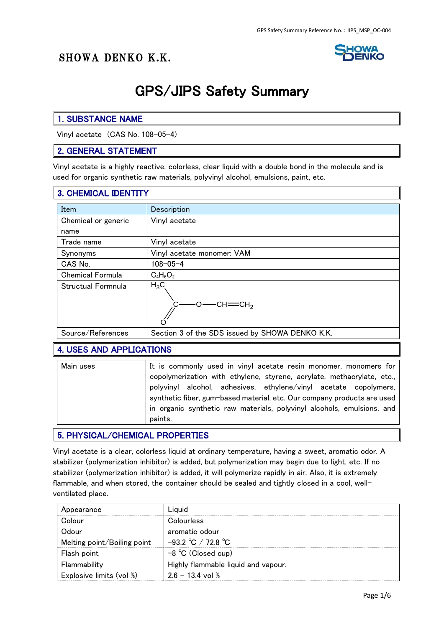## SHOWA DENKO K.K.



1

# GPS/JIPS Safety Summary

#### 1. SUBSTANCE NAME

Vinyl acetate (CAS No. 108-05-4)

#### 2. GENERAL STATEMENT

Vinyl acetate is a highly reactive, colorless, clear liquid with a double bond in the molecule and is used for organic synthetic raw materials, polyvinyl alcohol, emulsions, paint, etc.

#### 3. CHEMICAL IDENTITY

| Item                    | Description                                     |
|-------------------------|-------------------------------------------------|
| Chemical or generic     | Vinyl acetate                                   |
| name                    |                                                 |
| Trade name              | Vinyl acetate                                   |
| Synonyms                | Vinyl acetate monomer: VAM                      |
| CAS No.                 | $108 - 05 - 4$                                  |
| <b>Chemical Formula</b> | $C_4H_6O_2$                                     |
| Structual Formnula      | $H_3C_$<br>$CH = CH2$                           |
| Source/References       | Section 3 of the SDS issued by SHOWA DENKO K.K. |

#### 4. USES AND APPLICATIONS

| Main uses | It is commonly used in vinyl acetate resin monomer, monomers for        |
|-----------|-------------------------------------------------------------------------|
|           | copolymerization with ethylene, styrene, acrylate, methacrylate, etc.,  |
|           | polyvinyl alcohol, adhesives, ethylene/vinyl acetate copolymers,        |
|           | synthetic fiber, gum-based material, etc. Our company products are used |
|           | in organic synthetic raw materials, polyvinyl alcohols, emulsions, and  |
|           | paints.                                                                 |

#### 5. PHYSICAL/CHEMICAL PROPERTIES

Vinyl acetate is a clear, colorless liquid at ordinary temperature, having a sweet, aromatic odor. A stabilizer (polymerization inhibitor) is added, but polymerization may begin due to light, etc. If no stabilizer (polymerization inhibitor) is added, it will polymerize rapidly in air. Also, it is extremely flammable, and when stored, the container should be sealed and tightly closed in a cool, wellventilated place.

| Appearance                  |                                        |
|-----------------------------|----------------------------------------|
|                             | Colourless                             |
| )yurik                      | aromatic odour                         |
| Melting point/Boiling point | $-93.2 \text{ °C}$ / 72.8 $\text{ °C}$ |
| Flash point                 | $-8$ °C (Closed cup)                   |
| Flammability                | Highly flammable liquid and vapour.    |
| Explosive limits (vol %)    | $26 - 134$ vol %                       |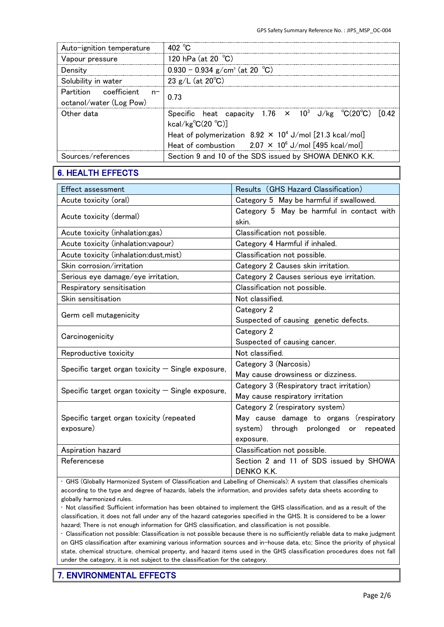| Auto-ignition temperature                             | 402 $^{\circ}$ C                                                                                                                                                                                                                                         |
|-------------------------------------------------------|----------------------------------------------------------------------------------------------------------------------------------------------------------------------------------------------------------------------------------------------------------|
| Vapour pressure                                       | 120 hPa (at 20 $°C$ )                                                                                                                                                                                                                                    |
| Density                                               | $0.930 - 0.934$ g/cm <sup>3</sup> (at 20 °C)                                                                                                                                                                                                             |
| Solubility in water                                   | 23 g/L (at $20^{\circ}$ C)                                                                                                                                                                                                                               |
| Partition coefficient $n-$<br>octanol/water (Log Pow) | በ 73                                                                                                                                                                                                                                                     |
| Other data                                            | Specific heat capacity 1.76 $\times$ 10 <sup>3</sup> J/kg °C(20°C)<br>1042<br>kcal/kg $\textdegree C(20 \textdegree C)$<br>Heat of polymerization $8.92 \times 10^4$ J/mol [21.3 kcal/mol]<br>Heat of combustion $2.07 \times 10^6$ J/mol [495 kcal/mol] |
| Sources/references                                    | Section 9 and 10 of the SDS issued by SHOWA DENKO K.K.                                                                                                                                                                                                   |

#### 6. HEALTH EFFECTS

| Effect assessment                                   | Results (GHS Hazard Classification)                |
|-----------------------------------------------------|----------------------------------------------------|
| Acute toxicity (oral)                               | Category 5 May be harmful if swallowed.            |
| Acute toxicity (dermal)                             | Category 5 May be harmful in contact with<br>skin. |
| Acute toxicity (inhalation:gas)                     | Classification not possible.                       |
| Acute toxicity (inhalation: vapour)                 | Category 4 Harmful if inhaled.                     |
| Acute toxicity (inhalation:dust,mist)               | Classification not possible.                       |
| Skin corrosion/irritation                           | Category 2 Causes skin irritation.                 |
| Serious eye damage/eye irritation,                  | Category 2 Causes serious eye irritation.          |
| Respiratory sensitisation                           | Classification not possible.                       |
| Skin sensitisation                                  | Not classified.                                    |
| Germ cell mutagenicity                              | Category 2                                         |
|                                                     | Suspected of causing genetic defects.              |
| Carcinogenicity                                     | Category 2                                         |
|                                                     | Suspected of causing cancer.                       |
| Reproductive toxicity                               | Not classified.                                    |
| Specific target organ toxicity $-$ Single exposure, | Category 3 (Narcosis)                              |
|                                                     | May cause drowsiness or dizziness.                 |
| Specific target organ toxicity $-$ Single exposure, | Category 3 (Respiratory tract irritation)          |
|                                                     | May cause respiratory irritation                   |
|                                                     | Category 2 (respiratory system)                    |
| Specific target organ toxicity (repeated            | May cause damage to organs (respiratory            |
| exposure)                                           | system) through prolonged or repeated              |
|                                                     | exposure.                                          |
| Aspiration hazard                                   | Classification not possible.                       |
| Referencese                                         | Section 2 and 11 of SDS issued by SHOWA            |
|                                                     | <b>DENKO K.K.</b>                                  |

• GHS (Globally Harmonized System of Classification and Labelling of Chemicals): A system that classifies chemicals according to the type and degree of hazards, labels the information, and provides safety data sheets according to globally harmonized rules.

• Not classified: Sufficient information has been obtained to implement the GHS classification, and as a result of the classification, it does not fall under any of the hazard categories specified in the GHS. It is considered to be a lower hazard; There is not enough information for GHS classification, and classification is not possible.

• Classification not possible: Classification is not possible because there is no sufficiently reliable data to make judgment on GHS classification after examining various information sources and in-house data, etc; Since the priority of physical state, chemical structure, chemical property, and hazard items used in the GHS classification procedures does not fall under the category, it is not subject to the classification for the category.

#### 7. ENVIRONMENTAL EFFECTS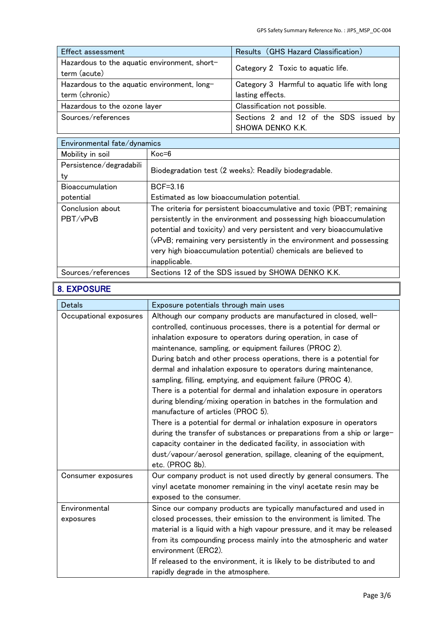| <b>Effect assessment</b>                     | Results (GHS Hazard Classification)          |  |
|----------------------------------------------|----------------------------------------------|--|
| Hazardous to the aquatic environment, short- | Category 2 Toxic to aquatic life.            |  |
| term (acute)                                 |                                              |  |
| Hazardous to the aquatic environment, long-  | Category 3 Harmful to aquatic life with long |  |
| term (chronic)                               | lasting effects.                             |  |
| Hazardous to the ozone layer                 | Classification not possible.                 |  |
| Sources/references                           | Sections 2 and 12 of the SDS issued by       |  |
|                                              | SHOWA DENKO K.K.                             |  |

| Environmental fate/dynamics |                                                                       |
|-----------------------------|-----------------------------------------------------------------------|
| Mobility in soil            | $Koc = 6$                                                             |
| Persistence/degradabili     |                                                                       |
| ty                          | Biodegradation test (2 weeks): Readily biodegradable.                 |
| <b>Bioaccumulation</b>      | $BCF=3.16$                                                            |
| potential                   | Estimated as low bioaccumulation potential.                           |
| Conclusion about            | The criteria for persistent bioaccumulative and toxic (PBT; remaining |
| PBT/vPvB                    | persistently in the environment and possessing high bioaccumulation   |
|                             | potential and toxicity) and very persistent and very bioaccumulative  |
|                             | (vPvB; remaining very persistently in the environment and possessing  |
|                             | very high bioaccumulation potential) chemicals are believed to        |
|                             | inapplicable.                                                         |
| Sources/references          | Sections 12 of the SDS issued by SHOWA DENKO K.K.                     |

## 8. EXPOSURE

| <b>Detals</b>              | Exposure potentials through main uses                                                                                                                                                                                                                                                                                                                                                                                                                                                                                                                                                                                                                                                                                                                                                                                                                                                                                                                                             |
|----------------------------|-----------------------------------------------------------------------------------------------------------------------------------------------------------------------------------------------------------------------------------------------------------------------------------------------------------------------------------------------------------------------------------------------------------------------------------------------------------------------------------------------------------------------------------------------------------------------------------------------------------------------------------------------------------------------------------------------------------------------------------------------------------------------------------------------------------------------------------------------------------------------------------------------------------------------------------------------------------------------------------|
| Occupational exposures     | Although our company products are manufactured in closed, well-<br>controlled, continuous processes, there is a potential for dermal or<br>inhalation exposure to operators during operation, in case of<br>maintenance, sampling, or equipment failures (PROC 2).<br>During batch and other process operations, there is a potential for<br>dermal and inhalation exposure to operators during maintenance,<br>sampling, filling, emptying, and equipment failure (PROC 4).<br>There is a potential for dermal and inhalation exposure in operators<br>during blending/mixing operation in batches in the formulation and<br>manufacture of articles (PROC 5).<br>There is a potential for dermal or inhalation exposure in operators<br>during the transfer of substances or preparations from a ship or large-<br>capacity container in the dedicated facility, in association with<br>dust/vapour/aerosol generation, spillage, cleaning of the equipment,<br>etc. (PROC 8b). |
| Consumer exposures         | Our company product is not used directly by general consumers. The<br>vinyl acetate monomer remaining in the vinyl acetate resin may be<br>exposed to the consumer.                                                                                                                                                                                                                                                                                                                                                                                                                                                                                                                                                                                                                                                                                                                                                                                                               |
| Environmental<br>exposures | Since our company products are typically manufactured and used in<br>closed processes, their emission to the environment is limited. The<br>material is a liquid with a high vapour pressure, and it may be released<br>from its compounding process mainly into the atmospheric and water<br>environment (ERC2).<br>If released to the environment, it is likely to be distributed to and<br>rapidly degrade in the atmosphere.                                                                                                                                                                                                                                                                                                                                                                                                                                                                                                                                                  |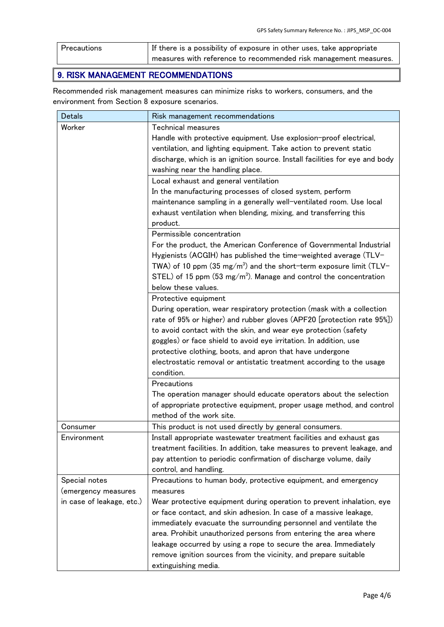| Precautions | If there is a possibility of exposure in other uses, take appropriate |
|-------------|-----------------------------------------------------------------------|
|             | measures with reference to recommended risk management measures.      |

## 9. RISK MANAGEMENT RECOMMENDATIONS

Recommended risk management measures can minimize risks to workers, consumers, and the environment from Section 8 exposure scenarios.

| <b>Detals</b>             | Risk management recommendations                                                |
|---------------------------|--------------------------------------------------------------------------------|
| Worker                    | <b>Technical measures</b>                                                      |
|                           | Handle with protective equipment. Use explosion-proof electrical,              |
|                           | ventilation, and lighting equipment. Take action to prevent static             |
|                           | discharge, which is an ignition source. Install facilities for eye and body    |
|                           | washing near the handling place.                                               |
|                           | Local exhaust and general ventilation                                          |
|                           | In the manufacturing processes of closed system, perform                       |
|                           | maintenance sampling in a generally well-ventilated room. Use local            |
|                           | exhaust ventilation when blending, mixing, and transferring this               |
|                           | product.                                                                       |
|                           | Permissible concentration                                                      |
|                           | For the product, the American Conference of Governmental Industrial            |
|                           | Hygienists (ACGIH) has published the time-weighted average (TLV-               |
|                           | TWA) of 10 ppm (35 mg/m <sup>3</sup> ) and the short-term exposure limit (TLV- |
|                           | STEL) of 15 ppm (53 mg/m <sup>3</sup> ). Manage and control the concentration  |
|                           | below these values.                                                            |
|                           | Protective equipment                                                           |
|                           | During operation, wear respiratory protection (mask with a collection          |
|                           | rate of 95% or higher) and rubber gloves (APF20 [protection rate 95%])         |
|                           | to avoid contact with the skin, and wear eye protection (safety                |
|                           | goggles) or face shield to avoid eye irritation. In addition, use              |
|                           | protective clothing, boots, and apron that have undergone                      |
|                           | electrostatic removal or antistatic treatment according to the usage           |
|                           | condition.                                                                     |
|                           | Precautions                                                                    |
|                           | The operation manager should educate operators about the selection             |
|                           | of appropriate protective equipment, proper usage method, and control          |
|                           | method of the work site.                                                       |
| Consumer                  | This product is not used directly by general consumers.                        |
| Environment               | Install appropriate wastewater treatment facilities and exhaust gas            |
|                           | treatment facilities. In addition, take measures to prevent leakage, and       |
|                           | pay attention to periodic confirmation of discharge volume, daily              |
|                           | control, and handling.                                                         |
| Special notes             | Precautions to human body, protective equipment, and emergency                 |
| (emergency measures       | measures                                                                       |
| in case of leakage, etc.) | Wear protective equipment during operation to prevent inhalation, eye          |
|                           | or face contact, and skin adhesion. In case of a massive leakage,              |
|                           | immediately evacuate the surrounding personnel and ventilate the               |
|                           | area. Prohibit unauthorized persons from entering the area where               |
|                           | leakage occurred by using a rope to secure the area. Immediately               |
|                           | remove ignition sources from the vicinity, and prepare suitable                |
|                           | extinguishing media.                                                           |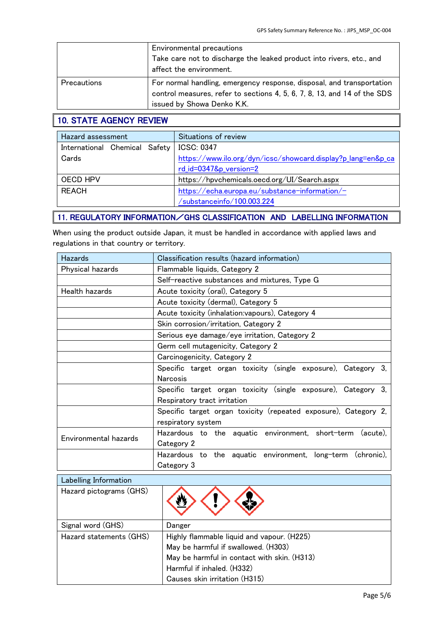|                    | Environmental precautions<br>Take care not to discharge the leaked product into rivers, etc., and<br>affect the environment.                                                    |
|--------------------|---------------------------------------------------------------------------------------------------------------------------------------------------------------------------------|
| <b>Precautions</b> | For normal handling, emergency response, disposal, and transportation<br>control measures, refer to sections 4, 5, 6, 7, 8, 13, and 14 of the SDS<br>issued by Showa Denko K.K. |

## 10. STATE AGENCY REVIEW

| Hazard assessment             | Situations of review                                         |
|-------------------------------|--------------------------------------------------------------|
| International Chemical Safety | <b>ICSC: 0347</b>                                            |
| Cards                         | https://www.ilo.org/dyn/icsc/showcard.display?p_lang=en&p_ca |
|                               | rd_id=0347&p_version=2                                       |
| OECD HPV                      | https://hpvchemicals.oecd.org/UI/Search.aspx                 |
| <b>RFACH</b>                  | https://echa.europa.eu/substance-information/-               |
|                               | /substanceinfo/100.003.224                                   |

#### 11. REGULATORY INFORMATION/GHS CLASSIFICATION AND LABELLING INFORMATION

When using the product outside Japan, it must be handled in accordance with applied laws and regulations in that country or territory.

| <b>Hazards</b>          | Classification results (hazard information)                     |  |  |  |  |  |
|-------------------------|-----------------------------------------------------------------|--|--|--|--|--|
| Physical hazards        | Flammable liquids, Category 2                                   |  |  |  |  |  |
|                         | Self-reactive substances and mixtures, Type G                   |  |  |  |  |  |
| <b>Health hazards</b>   | Acute toxicity (oral), Category 5                               |  |  |  |  |  |
|                         | Acute toxicity (dermal), Category 5                             |  |  |  |  |  |
|                         | Acute toxicity (inhalation: vapours), Category 4                |  |  |  |  |  |
|                         | Skin corrosion/irritation, Category 2                           |  |  |  |  |  |
|                         | Serious eye damage/eye irritation, Category 2                   |  |  |  |  |  |
|                         | Germ cell mutagenicity, Category 2                              |  |  |  |  |  |
|                         | Carcinogenicity, Category 2                                     |  |  |  |  |  |
|                         | Specific target organ toxicity (single exposure), Category 3,   |  |  |  |  |  |
|                         | <b>Narcosis</b>                                                 |  |  |  |  |  |
|                         | Specific target organ toxicity (single exposure), Category 3,   |  |  |  |  |  |
|                         | Respiratory tract irritation                                    |  |  |  |  |  |
|                         | Specific target organ toxicity (repeated exposure), Category 2, |  |  |  |  |  |
|                         | respiratory system                                              |  |  |  |  |  |
| Environmental hazards   | Hazardous to the aguatic environment, short-term<br>(acute).    |  |  |  |  |  |
|                         | Category 2                                                      |  |  |  |  |  |
|                         | Hazardous to the aquatic environment, long-term (chronic),      |  |  |  |  |  |
|                         | Category 3                                                      |  |  |  |  |  |
| Labelling Information   |                                                                 |  |  |  |  |  |
| Hazard pictograms (GHS) |                                                                 |  |  |  |  |  |

| ========================= |                                             |  |  |  |
|---------------------------|---------------------------------------------|--|--|--|
| Hazard pictograms (GHS)   |                                             |  |  |  |
| Signal word (GHS)         | Danger                                      |  |  |  |
| Hazard statements (GHS)   | Highly flammable liquid and vapour. (H225)  |  |  |  |
|                           | May be harmful if swallowed. (H303)         |  |  |  |
|                           | May be harmful in contact with skin. (H313) |  |  |  |
|                           | Harmful if inhaled. (H332)                  |  |  |  |
|                           | Causes skin irritation (H315)               |  |  |  |